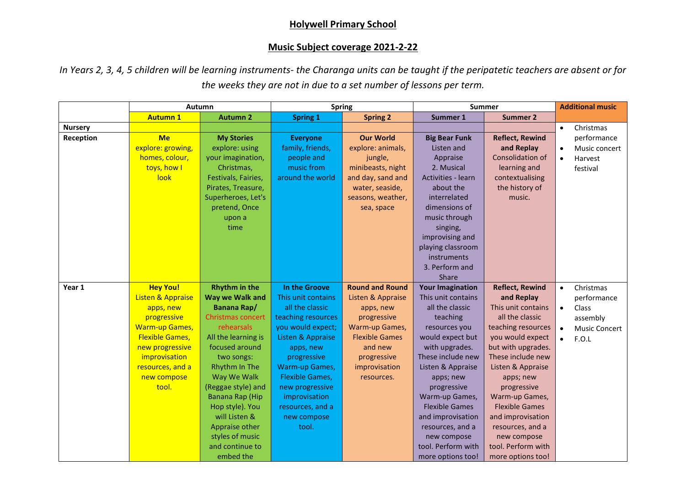## **Holywell Primary School**

## **Music Subject coverage 2021-2-22**

*In Years 2, 3, 4, 5 children will be learning instruments- the Charanga units can be taught if the peripatetic teachers are absent or for the weeks they are not in due to a set number of lessons per term.*

|                | Autumn                                                                                                                                                                                                         |                                                                                                                                                                                                                                                                                                           | <b>Spring</b>                                                                                                                                                                                                                                                                  |                                                                                                                                                                             | Summer                                                                                                                                                                                                                                                                                                       |                                                                                                                                                                                                                                                                                                                        | <b>Additional music</b>                                                                                                            |
|----------------|----------------------------------------------------------------------------------------------------------------------------------------------------------------------------------------------------------------|-----------------------------------------------------------------------------------------------------------------------------------------------------------------------------------------------------------------------------------------------------------------------------------------------------------|--------------------------------------------------------------------------------------------------------------------------------------------------------------------------------------------------------------------------------------------------------------------------------|-----------------------------------------------------------------------------------------------------------------------------------------------------------------------------|--------------------------------------------------------------------------------------------------------------------------------------------------------------------------------------------------------------------------------------------------------------------------------------------------------------|------------------------------------------------------------------------------------------------------------------------------------------------------------------------------------------------------------------------------------------------------------------------------------------------------------------------|------------------------------------------------------------------------------------------------------------------------------------|
|                | <b>Autumn 1</b>                                                                                                                                                                                                | <b>Autumn 2</b>                                                                                                                                                                                                                                                                                           | <b>Spring 1</b>                                                                                                                                                                                                                                                                | <b>Spring 2</b>                                                                                                                                                             | Summer 1                                                                                                                                                                                                                                                                                                     | <b>Summer 2</b>                                                                                                                                                                                                                                                                                                        |                                                                                                                                    |
| <b>Nursery</b> |                                                                                                                                                                                                                |                                                                                                                                                                                                                                                                                                           |                                                                                                                                                                                                                                                                                |                                                                                                                                                                             |                                                                                                                                                                                                                                                                                                              |                                                                                                                                                                                                                                                                                                                        | Christmas<br>$\bullet$                                                                                                             |
| Reception      | <b>Me</b><br>explore: growing,<br>homes, colour,<br>toys, how I<br>look                                                                                                                                        | <b>My Stories</b><br>explore: using<br>your imagination,<br>Christmas,<br>Festivals, Fairies,<br>Pirates, Treasure,<br>Superheroes, Let's<br>pretend, Once<br>upon a<br>time                                                                                                                              | <b>Everyone</b><br>family, friends,<br>people and<br>music from<br>around the world                                                                                                                                                                                            | <b>Our World</b><br>explore: animals,<br>jungle,<br>minibeasts, night<br>and day, sand and<br>water, seaside,<br>seasons, weather,<br>sea, space                            | <b>Big Bear Funk</b><br>Listen and<br>Appraise<br>2. Musical<br>Activities - learn<br>about the<br>interrelated<br>dimensions of<br>music through<br>singing,<br>improvising and<br>playing classroom<br>instruments<br>3. Perform and<br>Share                                                              | <b>Reflect, Rewind</b><br>and Replay<br><b>Consolidation of</b><br>learning and<br>contextualising<br>the history of<br>music.                                                                                                                                                                                         | performance<br>Music concert<br>$\bullet$<br>Harvest<br>$\bullet$<br>festival                                                      |
| Year 1         | <b>Hey You!</b><br><b>Listen &amp; Appraise</b><br>apps, new<br>progressive<br><b>Warm-up Games,</b><br><b>Flexible Games,</b><br>new progressive<br>improvisation<br>resources, and a<br>new compose<br>tool. | <b>Rhythm in the</b><br>Way we Walk and<br>Banana Rap/<br><b>Christmas concert</b><br>rehearsals<br>All the learning is<br>focused around<br>two songs:<br>Rhythm In The<br>Way We Walk<br>(Reggae style) and<br>Banana Rap (Hip<br>Hop style). You<br>will Listen &<br>Appraise other<br>styles of music | In the Groove<br>This unit contains<br>all the classic<br>teaching resources<br>you would expect;<br>Listen & Appraise<br>apps, new<br>progressive<br>Warm-up Games,<br><b>Flexible Games,</b><br>new progressive<br>improvisation<br>resources, and a<br>new compose<br>tool. | <b>Round and Round</b><br>Listen & Appraise<br>apps, new<br>progressive<br>Warm-up Games,<br><b>Flexible Games</b><br>and new<br>progressive<br>improvisation<br>resources. | <b>Your Imagination</b><br>This unit contains<br>all the classic<br>teaching<br>resources you<br>would expect but<br>with upgrades.<br>These include new<br>Listen & Appraise<br>apps; new<br>progressive<br>Warm-up Games,<br><b>Flexible Games</b><br>and improvisation<br>resources, and a<br>new compose | <b>Reflect, Rewind</b><br>and Replay<br>This unit contains<br>all the classic<br>teaching resources<br>you would expect<br>but with upgrades.<br>These include new<br>Listen & Appraise<br>apps; new<br>progressive<br>Warm-up Games,<br><b>Flexible Games</b><br>and improvisation<br>resources, and a<br>new compose | Christmas<br>$\bullet$<br>performance<br>$\bullet$<br>Class<br>assembly<br><b>Music Concert</b><br>$\bullet$<br>F.O.L<br>$\bullet$ |
|                |                                                                                                                                                                                                                | and continue to<br>embed the                                                                                                                                                                                                                                                                              |                                                                                                                                                                                                                                                                                |                                                                                                                                                                             | tool. Perform with<br>more options too!                                                                                                                                                                                                                                                                      | tool. Perform with<br>more options too!                                                                                                                                                                                                                                                                                |                                                                                                                                    |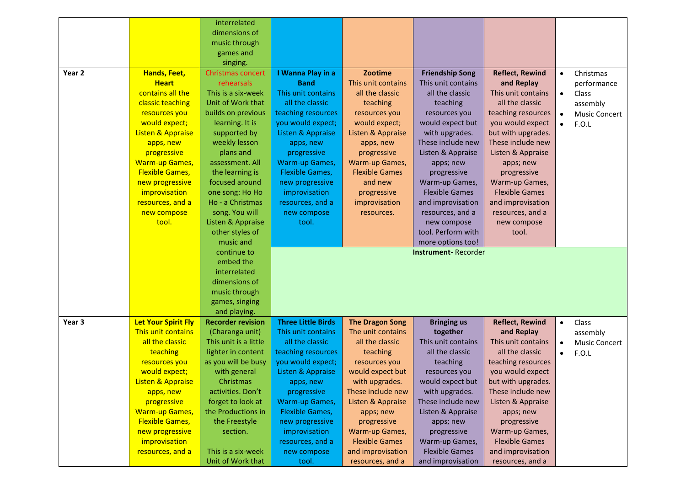|        |                              | interrelated                            |                           |                                       |                                            |                                       |                                   |
|--------|------------------------------|-----------------------------------------|---------------------------|---------------------------------------|--------------------------------------------|---------------------------------------|-----------------------------------|
|        |                              | dimensions of                           |                           |                                       |                                            |                                       |                                   |
|        |                              | music through                           |                           |                                       |                                            |                                       |                                   |
|        |                              | games and                               |                           |                                       |                                            |                                       |                                   |
|        |                              | singing.                                |                           |                                       |                                            |                                       |                                   |
| Year 2 | Hands, Feet,                 | Christmas concert                       | I Wanna Play in a         | <b>Zootime</b>                        | <b>Friendship Song</b>                     | <b>Reflect, Rewind</b>                | Christmas<br>$\bullet$            |
|        | <b>Heart</b>                 | rehearsals                              | <b>Band</b>               | This unit contains                    | This unit contains                         | and Replay                            | performance                       |
|        | contains all the             | This is a six-week                      | This unit contains        | all the classic                       | all the classic                            | This unit contains                    | Class<br>$\bullet$                |
|        | classic teaching             | Unit of Work that                       | all the classic           | teaching                              | teaching                                   | all the classic                       | assembly                          |
|        | resources you                | builds on previous                      | teaching resources        | resources you                         | resources you                              | teaching resources                    | <b>Music Concert</b><br>$\bullet$ |
|        | would expect;                | learning. It is                         | you would expect;         | would expect;                         | would expect but                           | you would expect                      | F.O.L                             |
|        | <b>Listen &amp; Appraise</b> | supported by                            | Listen & Appraise         | Listen & Appraise                     | with upgrades.                             | but with upgrades.                    |                                   |
|        | apps, new                    | weekly lesson                           | apps, new                 | apps, new                             | These include new                          | These include new                     |                                   |
|        | progressive                  | plans and                               | progressive               | progressive                           | Listen & Appraise                          | Listen & Appraise                     |                                   |
|        | <b>Warm-up Games,</b>        | assessment. All                         | Warm-up Games,            | Warm-up Games,                        | apps; new                                  | apps; new                             |                                   |
|        | <b>Flexible Games,</b>       | the learning is                         | Flexible Games,           | <b>Flexible Games</b>                 | progressive                                | progressive                           |                                   |
|        | new progressive              | focused around                          | new progressive           | and new                               | Warm-up Games,                             | Warm-up Games,                        |                                   |
|        | improvisation                | one song: Ho Ho                         | improvisation             | progressive                           | <b>Flexible Games</b>                      | <b>Flexible Games</b>                 |                                   |
|        | resources, and a             | Ho - a Christmas                        | resources, and a          | improvisation                         | and improvisation                          | and improvisation                     |                                   |
|        | new compose                  | song. You will                          |                           | resources.                            | resources, and a                           | resources, and a                      |                                   |
|        | tool.                        | Listen & Appraise                       | new compose<br>tool.      |                                       | new compose                                | new compose                           |                                   |
|        |                              | other styles of                         |                           |                                       | tool. Perform with                         | tool.                                 |                                   |
|        |                              | music and                               |                           |                                       | more options too!                          |                                       |                                   |
|        |                              | continue to                             |                           |                                       | <b>Instrument-Recorder</b>                 |                                       |                                   |
|        |                              | embed the                               |                           |                                       |                                            |                                       |                                   |
|        |                              | interrelated                            |                           |                                       |                                            |                                       |                                   |
|        |                              | dimensions of                           |                           |                                       |                                            |                                       |                                   |
|        |                              | music through                           |                           |                                       |                                            |                                       |                                   |
|        |                              |                                         |                           |                                       |                                            |                                       |                                   |
|        |                              |                                         |                           |                                       |                                            |                                       |                                   |
|        |                              | games, singing                          |                           |                                       |                                            |                                       |                                   |
|        |                              | and playing.                            |                           |                                       |                                            |                                       |                                   |
| Year 3 | <b>Let Your Spirit Fly</b>   | <b>Recorder revision</b>                | <b>Three Little Birds</b> | <b>The Dragon Song</b>                | <b>Bringing us</b>                         | <b>Reflect, Rewind</b>                | $\bullet$<br>Class                |
|        | This unit contains           | (Charanga unit)                         | This unit contains        | The unit contains                     | together                                   | and Replay                            | assembly                          |
|        | all the classic              | This unit is a little                   | all the classic           | all the classic                       | This unit contains                         | This unit contains                    | <b>Music Concert</b><br>$\bullet$ |
|        | teaching                     | lighter in content                      | teaching resources        | teaching                              | all the classic                            | all the classic                       | F.O.L<br>$\bullet$                |
|        | resources you                | as you will be busy                     | you would expect;         | resources you                         | teaching                                   | teaching resources                    |                                   |
|        | would expect;                | with general                            | Listen & Appraise         | would expect but                      | resources you                              | you would expect                      |                                   |
|        | Listen & Appraise            | Christmas                               | apps, new                 | with upgrades.                        | would expect but                           | but with upgrades.                    |                                   |
|        | apps, new                    | activities. Don't                       | progressive               | These include new                     | with upgrades.                             | These include new                     |                                   |
|        | progressive                  | forget to look at                       | Warm-up Games,            | Listen & Appraise                     | These include new                          | Listen & Appraise                     |                                   |
|        | <b>Warm-up Games,</b>        | the Productions in                      | <b>Flexible Games,</b>    | apps; new                             | Listen & Appraise                          | apps; new                             |                                   |
|        | <b>Flexible Games,</b>       | the Freestyle                           | new progressive           | progressive                           | apps; new                                  | progressive                           |                                   |
|        | new progressive              | section.                                | improvisation             | Warm-up Games,                        | progressive                                | Warm-up Games,                        |                                   |
|        | improvisation                |                                         | resources, and a          | <b>Flexible Games</b>                 | Warm-up Games,                             | <b>Flexible Games</b>                 |                                   |
|        | resources, and a             | This is a six-week<br>Unit of Work that | new compose<br>tool.      | and improvisation<br>resources, and a | <b>Flexible Games</b><br>and improvisation | and improvisation<br>resources, and a |                                   |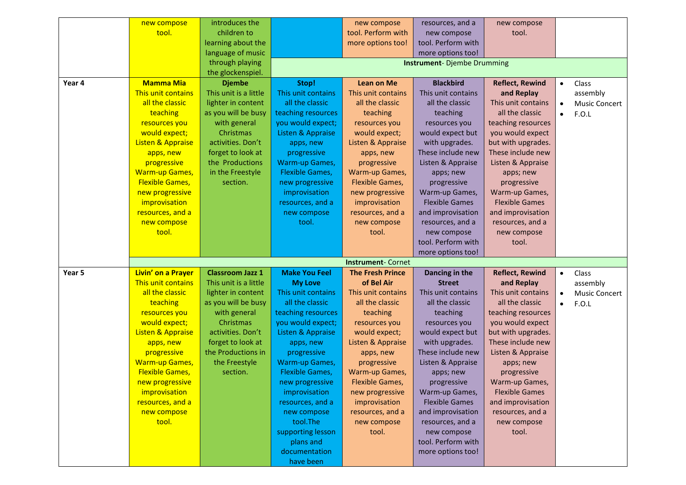|        | new compose                  | introduces the          |                                   | new compose              | resources, and a      | new compose            |           |                      |
|--------|------------------------------|-------------------------|-----------------------------------|--------------------------|-----------------------|------------------------|-----------|----------------------|
|        | tool.                        | children to             |                                   | tool. Perform with       | new compose           | tool.                  |           |                      |
|        |                              | learning about the      |                                   | more options too!        | tool. Perform with    |                        |           |                      |
|        |                              | language of music       |                                   |                          | more options too!     |                        |           |                      |
|        |                              | through playing         | <b>Instrument-Djembe Drumming</b> |                          |                       |                        |           |                      |
|        |                              | the glockenspiel.       |                                   |                          |                       |                        |           |                      |
| Year 4 | <b>Mamma Mia</b>             | <b>Djembe</b>           | Stop!                             | <b>Lean on Me</b>        | <b>Blackbird</b>      | <b>Reflect, Rewind</b> | $\bullet$ | Class                |
|        | This unit contains           | This unit is a little   | This unit contains                | This unit contains       | This unit contains    | and Replay             |           | assembly             |
|        | all the classic              | lighter in content      | all the classic                   | all the classic          | all the classic       | This unit contains     | $\bullet$ | <b>Music Concert</b> |
|        | teaching                     | as you will be busy     | teaching resources                | teaching                 | teaching              | all the classic        | $\bullet$ | F.O.L                |
|        | resources you                | with general            | you would expect;                 | resources you            | resources you         | teaching resources     |           |                      |
|        | would expect;                | Christmas               | Listen & Appraise                 | would expect;            | would expect but      | you would expect       |           |                      |
|        | <b>Listen &amp; Appraise</b> | activities. Don't       | apps, new                         | Listen & Appraise        | with upgrades.        | but with upgrades.     |           |                      |
|        | apps, new                    | forget to look at       | progressive                       | apps, new                | These include new     | These include new      |           |                      |
|        | progressive                  | the Productions         | <b>Warm-up Games,</b>             | progressive              | Listen & Appraise     | Listen & Appraise      |           |                      |
|        | <b>Warm-up Games,</b>        | in the Freestyle        | <b>Flexible Games,</b>            | Warm-up Games,           | apps; new             | apps; new              |           |                      |
|        | <b>Flexible Games,</b>       | section.                | new progressive                   | Flexible Games,          | progressive           | progressive            |           |                      |
|        | new progressive              |                         | improvisation                     | new progressive          | Warm-up Games,        | Warm-up Games,         |           |                      |
|        | improvisation                |                         | resources, and a                  | improvisation            | <b>Flexible Games</b> | <b>Flexible Games</b>  |           |                      |
|        | resources, and a             |                         | new compose                       | resources, and a         | and improvisation     | and improvisation      |           |                      |
|        | new compose                  |                         | tool.                             | new compose              | resources, and a      | resources, and a       |           |                      |
|        | tool.                        |                         |                                   | tool.                    | new compose           | new compose            |           |                      |
|        |                              |                         |                                   |                          | tool. Perform with    | tool.                  |           |                      |
|        |                              |                         |                                   |                          | more options too!     |                        |           |                      |
|        |                              |                         |                                   | <b>Instrument-Cornet</b> |                       |                        |           |                      |
| Year 5 | Livin' on a Prayer           | <b>Classroom Jazz 1</b> | <b>Make You Feel</b>              | <b>The Fresh Prince</b>  | Dancing in the        | <b>Reflect, Rewind</b> | $\bullet$ | Class                |
|        | This unit contains           | This unit is a little   | <b>My Love</b>                    | of Bel Air               | <b>Street</b>         | and Replay             |           | assembly             |
|        | all the classic              | lighter in content      | This unit contains                | This unit contains       | This unit contains    | This unit contains     | $\bullet$ | <b>Music Concert</b> |
|        | teaching                     | as you will be busy     | all the classic                   | all the classic          | all the classic       | all the classic        | $\bullet$ | F.O.L                |
|        | resources you                | with general            | teaching resources                | teaching                 | teaching              | teaching resources     |           |                      |
|        | would expect;                | Christmas               | you would expect;                 | resources you            | resources you         | you would expect       |           |                      |
|        | <b>Listen &amp; Appraise</b> | activities. Don't       | Listen & Appraise                 | would expect;            | would expect but      | but with upgrades.     |           |                      |
|        | apps, new                    | forget to look at       | apps, new                         | Listen & Appraise        | with upgrades.        | These include new      |           |                      |
|        | progressive                  | the Productions in      | progressive                       | apps, new                | These include new     | Listen & Appraise      |           |                      |
|        | <b>Warm-up Games,</b>        | the Freestyle           | Warm-up Games,                    | progressive              | Listen & Appraise     | apps; new              |           |                      |
|        | <b>Flexible Games,</b>       | section.                | <b>Flexible Games,</b>            | Warm-up Games,           | apps; new             | progressive            |           |                      |
|        | new progressive              |                         | new progressive                   | Flexible Games,          | progressive           | Warm-up Games,         |           |                      |
|        | improvisation                |                         | improvisation                     | new progressive          | Warm-up Games,        | <b>Flexible Games</b>  |           |                      |
|        | resources, and a             |                         | resources, and a                  | improvisation            | <b>Flexible Games</b> | and improvisation      |           |                      |
|        | new compose                  |                         | new compose                       | resources, and a         | and improvisation     | resources, and a       |           |                      |
|        | tool.                        |                         | tool.The                          | new compose              | resources, and a      | new compose            |           |                      |
|        |                              |                         | supporting lesson                 | tool.                    | new compose           | tool.                  |           |                      |
|        |                              |                         | plans and                         |                          | tool. Perform with    |                        |           |                      |
|        |                              |                         | documentation                     |                          | more options too!     |                        |           |                      |
|        |                              |                         | have been                         |                          |                       |                        |           |                      |